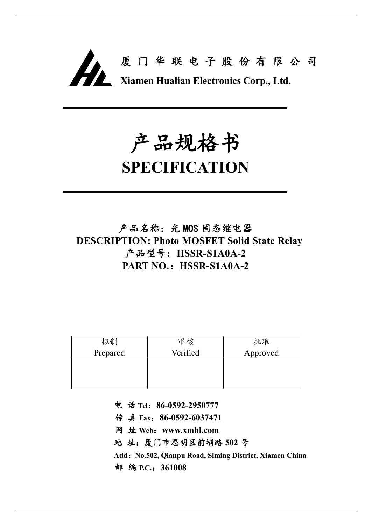

# **产品规格书**

## **SPECIFICATION**

**产品名称:光 MOS 固态继电器 DESCRIPTION: Photo MOSFET Solid State Relay 产品型号:HSSR-S1A0A-2 PART NO.:HSSR-S1A0A-2**

| 拟制       | 审核       | 批准       |
|----------|----------|----------|
| Prepared | Verified | Approved |
|          |          |          |
|          |          |          |
|          |          |          |

**电 话 Tel:86-0592-2950777**

**传 真 Fax:86-0592-6037471**

**网 址 Web:www.xmhl.com**

**地 址:厦门市思明区前埔路 502 号**

**Add:No.502, Qianpu Road, Siming District, Xiamen China 邮 编 P.C.:361008**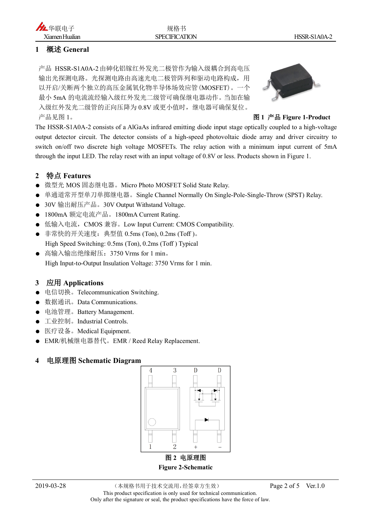#### **1 概述 General**

产品 HSSR-S1A0A-2由砷化铝镓红外发光二极管作为输入级耦合到高电压 输出光探测电路。光探测电路由高速光电二极管阵列和驱动电路构成,用 以开启/关断两个独立的高压金属氧化物半导体场效应管(MOSFET)。一个 最小 5mA 的电流流经输入级红外发光二级管可确保继电器动作。当加在输 入级红外发光二级管的正向压降为 0.8V 或更小值时,继电器可确保复位。 产品见图 1。 **图 1 产品 Figure 1-Product**



The HSSR-S1A0A-2 consists of a AlGaAs infrared emitting diode input stage optically coupled to a high-voltage output detector circuit. The detector consists of a high-speed photovoltaic diode array and driver circuitry to switch on/off two discrete high voltage MOSFETs. The relay action with a minimum input current of 5mA through the input LED. The relay reset with an input voltage of 0.8V or less. Products shown in Figure 1.

#### **2 特点 Features**

- 微型光 MOS 固态继电器。Micro Photo MOSFET Solid State Relay.
- 单通道常开型单刀单掷继电器。Single Channel Normally On Single-Pole-Single-Throw (SPST) Relay.
- 30V 输出耐压产品。30V Output Withstand Voltage.
- 1800mA 额定电流产品。1800mA Current Rating.
- 低输入电流, CMOS 兼容。Low Input Current: CMOS Compatibility.
- 非常快的开关速度:典型值 0.5ms (Ton), 0.2ms (Toff )。 High Speed Switching: 0.5ms (Ton), 0.2ms (Toff ) Typical
- 高输入输出绝缘耐压: 3750 Vrms for 1 min。 High Input-to-Output Insulation Voltage: 3750 Vrms for 1 min.

#### **3 应用 Applications**

- 电信切换。Telecommunication Switching.
- 数据通讯。Data Communications.
- 电池管理。Battery Management.
- 工业控制。Industrial Controls.
- 医疗设备。Medical Equipment.
- **EMR/机械继电器替代。EMR / Reed Relay Replacement.**

#### **4 电原理图 Schematic Diagram**



**Figure 2-Schematic**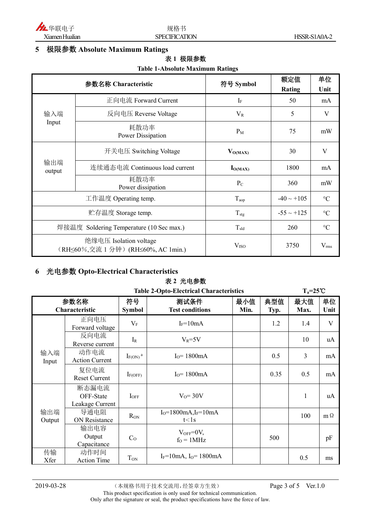

#### **5 极限参数 Absolute Maximum Ratings**

#### **表 1 极限参数**

#### **Table 1-Absolute Maximum Ratings**

| 参数名称 Characteristic                                           |                                | 符号 Symbol        | 额定值             | 单位              |
|---------------------------------------------------------------|--------------------------------|------------------|-----------------|-----------------|
|                                                               |                                |                  | Rating          | Unit            |
| 输入端<br>Input                                                  | 正向电流 Forward Current           | $I_F$            | 50              | mA              |
|                                                               | 反向电压 Reverse Voltage           | $V_{R}$          | 5               | V               |
|                                                               | 耗散功率<br>Power Dissipation      | $P_M$            | 75              | mW              |
| 输出端<br>output                                                 | 开关电压 Switching Voltage         | $V_{O(MAX)}$     | 30              | V               |
|                                                               | 连续通态电流 Continuous load current | $I_{O(MAX)}$     | 1800            | mA              |
|                                                               | 耗散功率<br>Power dissipation      | $P_{C}$          | 360             | mW              |
| 工作温度 Operating temp.                                          |                                | $T_{\rm aop}$    | $-40 \sim +105$ | $\rm ^{\circ}C$ |
| 贮存温度 Storage temp.                                            |                                | $T_{\text{stg}}$ | $-55 \sim +125$ | $\rm ^{\circ}C$ |
| 焊接温度 Soldering Temperature (10 Sec max.)                      |                                | $T_{\rm sld}$    | 260             | $\rm ^{\circ}C$ |
| 绝缘电压 Isolation voltage<br>(RH≤60%,交流 1 分钟) (RH≤60%, AC 1min.) |                                | V <sub>ISO</sub> | 3750            | $V_{\rm rms}$   |

### **6 光电参数 Opto-Electrical Characteristics**

#### **表 2 光电参数**

| <b>Table 2-Opto-Electrical Characteristics</b> |                                       |                          |                                    | $T_a = 25^{\circ}C$ |             |              |            |
|------------------------------------------------|---------------------------------------|--------------------------|------------------------------------|---------------------|-------------|--------------|------------|
|                                                | 参数名称<br>Characteristic                |                          | 测试条件<br><b>Test conditions</b>     | 最小值<br>Min.         | 典型值<br>Typ. | 最大值<br>Max.  | 单位<br>Unit |
|                                                | 正向电压<br>Forward voltage               | $V_{\rm F}$              | $I_F = 10mA$                       |                     | 1.2         | 1.4          | V          |
|                                                | 反向电流<br>Reverse current               | $I_R$                    | $V_R = 5V$                         |                     |             | 10           | uA         |
| 输入端<br>Input                                   | 动作电流<br><b>Action Current</b>         | $I_{F(ON)}$ <sup>a</sup> | $IO=1800mA$                        |                     | 0.5         | 3            | mA         |
|                                                | 复位电流<br><b>Reset Current</b>          | $I_{F(OFF)}$             | $Io=1800mA$                        |                     | 0.35        | 0.5          | mA         |
|                                                | 断态漏电流<br>OFF-State<br>Leakage Current | $I_{OFF}$                | $V_0 = 30V$                        |                     |             | $\mathbf{1}$ | uA         |
| 输出端<br>Output                                  | 导通电阻<br><b>ON Resistance</b>          | R <sub>ON</sub>          | $I_0 = 1800mA, I_F = 10mA$<br>t<1s |                     |             | 100          | $m \Omega$ |
|                                                | 输出电容<br>Output<br>Capacitance         | C <sub>o</sub>           | $V_{OFF}=0V$ ,<br>$fO = 1 MHz$     |                     | 500         |              | pF         |
| 传输<br>Xfer                                     | 动作时间<br><b>Action Time</b>            | T <sub>ON</sub>          | $I_F = 10$ mA, $I_O = 1800$ mA     |                     |             | 0.5          | ms         |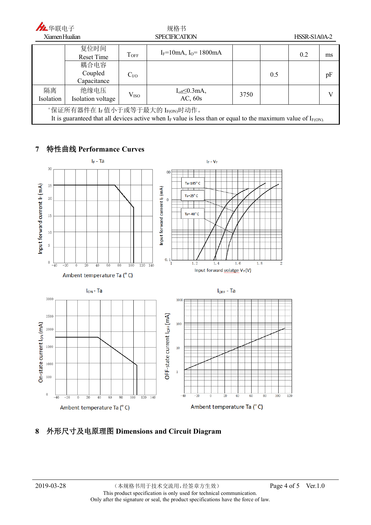| 九华联电子                                                                                                                                                     |                                |                      | 规格书                               |      |     |              |    |
|-----------------------------------------------------------------------------------------------------------------------------------------------------------|--------------------------------|----------------------|-----------------------------------|------|-----|--------------|----|
| Xiamen Hualian                                                                                                                                            |                                | <b>SPECIFICATION</b> |                                   |      |     | HSSR-S1A0A-2 |    |
|                                                                                                                                                           | 复位时间<br>Reset Time             | <b>TOFF</b>          | $I_F = 10mA$ , $I_O = 1800mA$     |      |     | 0.2          | ms |
|                                                                                                                                                           | 耦合电容<br>Coupled<br>Capacitance | C <sub>I/O</sub>     |                                   |      | 0.5 |              | pF |
| 隔离<br>Isolation                                                                                                                                           | 绝缘电压<br>Isolation voltage      | V <sub>ISO</sub>     | $I_{off} \leq 0.3$ mA,<br>AC, 60s | 3750 |     |              |    |
| "保证所有器件在 Ir 值小于或等于最大的 IF(ON)时动作。<br>It is guaranteed that all devices active when $I_F$ value is less than or equal to the maximum value of $I_{F(ON)}$ . |                                |                      |                                   |      |     |              |    |

#### **7 特性曲线 Performance Curves**



#### **8 外形尺寸及电原理图 Dimensions and Circuit Diagram**